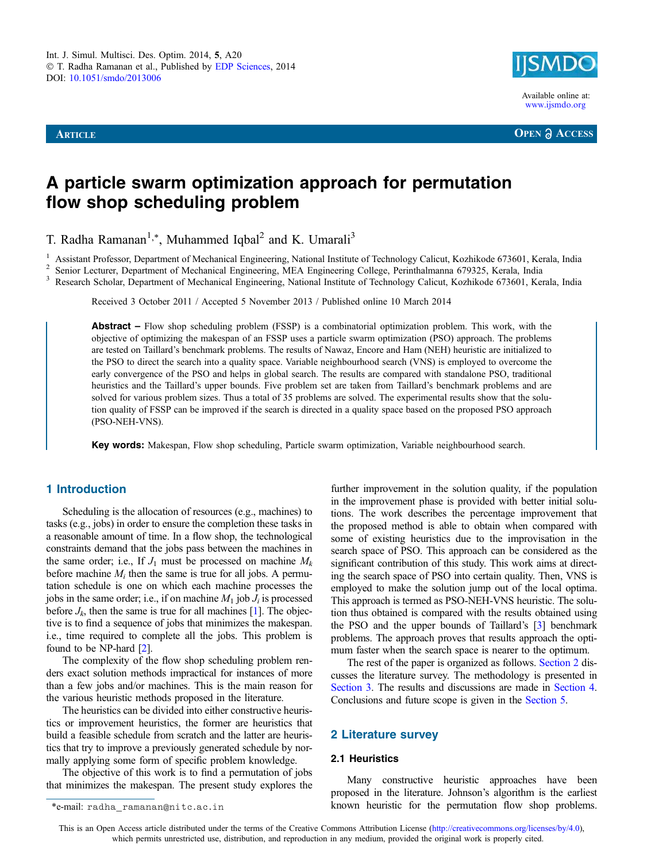

Available online at: www.ijsmdo.org

ARTICLE **OPEN ACCESS**

# A particle swarm optimization approach for permutation flow shop scheduling problem

T. Radha Ramanan<sup>1,\*</sup>, Muhammed Iqbal<sup>2</sup> and K. Umarali<sup>3</sup>

<sup>1</sup> Assistant Professor, Department of Mechanical Engineering, National Institute of Technology Calicut, Kozhikode 673601, Kerala, India

<sup>2</sup> Senior Lecturer, Department of Mechanical Engineering, MEA Engineering College, Perinthalmanna 679325, Kerala, India

<sup>3</sup> Research Scholar, Department of Mechanical Engineering, National Institute of Technology Calicut, Kozhikode 673601, Kerala, India

Received 3 October 2011 / Accepted 5 November 2013 / Published online 10 March 2014

Abstract – Flow shop scheduling problem (FSSP) is a combinatorial optimization problem. This work, with the objective of optimizing the makespan of an FSSP uses a particle swarm optimization (PSO) approach. The problems are tested on Taillard's benchmark problems. The results of Nawaz, Encore and Ham (NEH) heuristic are initialized to the PSO to direct the search into a quality space. Variable neighbourhood search (VNS) is employed to overcome the early convergence of the PSO and helps in global search. The results are compared with standalone PSO, traditional heuristics and the Taillard's upper bounds. Five problem set are taken from Taillard's benchmark problems and are solved for various problem sizes. Thus a total of 35 problems are solved. The experimental results show that the solution quality of FSSP can be improved if the search is directed in a quality space based on the proposed PSO approach (PSO-NEH-VNS).

Key words: Makespan, Flow shop scheduling, Particle swarm optimization, Variable neighbourhood search.

## 1 Introduction

Scheduling is the allocation of resources (e.g., machines) to tasks (e.g., jobs) in order to ensure the completion these tasks in a reasonable amount of time. In a flow shop, the technological constraints demand that the jobs pass between the machines in the same order; i.e., If  $J_1$  must be processed on machine  $M_k$ before machine  $M_i$  then the same is true for all jobs. A permutation schedule is one on which each machine processes the jobs in the same order; i.e., if on machine  $M_1$  job  $J_i$  is processed before  $J_k$ , then the same is true for all machines [1]. The objective is to find a sequence of jobs that minimizes the makespan. i.e., time required to complete all the jobs. This problem is found to be NP-hard [2].

The complexity of the flow shop scheduling problem renders exact solution methods impractical for instances of more than a few jobs and/or machines. This is the main reason for the various heuristic methods proposed in the literature.

The heuristics can be divided into either constructive heuristics or improvement heuristics, the former are heuristics that build a feasible schedule from scratch and the latter are heuristics that try to improve a previously generated schedule by normally applying some form of specific problem knowledge.

The objective of this work is to find a permutation of jobs that minimizes the makespan. The present study explores the

further improvement in the solution quality, if the population in the improvement phase is provided with better initial solutions. The work describes the percentage improvement that the proposed method is able to obtain when compared with some of existing heuristics due to the improvisation in the search space of PSO. This approach can be considered as the significant contribution of this study. This work aims at directing the search space of PSO into certain quality. Then, VNS is employed to make the solution jump out of the local optima. This approach is termed as PSO-NEH-VNS heuristic. The solution thus obtained is compared with the results obtained using the PSO and the upper bounds of Taillard's [3] benchmark problems. The approach proves that results approach the optimum faster when the search space is nearer to the optimum.

The rest of the paper is organized as follows. Section 2 discusses the literature survey. The methodology is presented in Section 3. The results and discussions are made in Section 4. Conclusions and future scope is given in the Section 5.

#### 2 Literature survey

#### 2.1 Heuristics

Many constructive heuristic approaches have been proposed in the literature. Johnson's algorithm is the earliest \*e-mail: radha\_ramanan@nitc.ac.in known heuristic for the permutation flow shop problems.

This is an Open Access article distributed under the terms of the Creative Commons Attribution License (http://creativecommons.org/licenses/by/4.0), which permits unrestricted use, distribution, and reproduction in any medium, provided the original work is properly cited.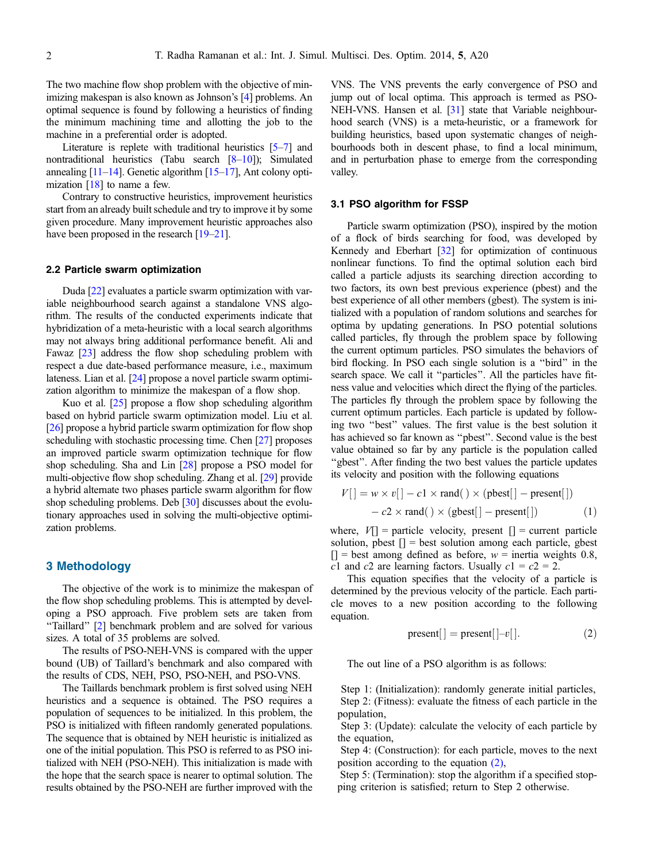The two machine flow shop problem with the objective of minimizing makespan is also known as Johnson's [4] problems. An optimal sequence is found by following a heuristics of finding the minimum machining time and allotting the job to the machine in a preferential order is adopted.

Literature is replete with traditional heuristics  $[5-7]$  and nontraditional heuristics (Tabu search [8–10]); Simulated annealing  $[11-14]$ . Genetic algorithm  $[15-17]$ , Ant colony optimization [18] to name a few.

Contrary to constructive heuristics, improvement heuristics start from an already built schedule and try to improve it by some given procedure. Many improvement heuristic approaches also have been proposed in the research [19–21].

#### 2.2 Particle swarm optimization

Duda [22] evaluates a particle swarm optimization with variable neighbourhood search against a standalone VNS algorithm. The results of the conducted experiments indicate that hybridization of a meta-heuristic with a local search algorithms may not always bring additional performance benefit. Ali and Fawaz [23] address the flow shop scheduling problem with respect a due date-based performance measure, i.e., maximum lateness. Lian et al. [24] propose a novel particle swarm optimization algorithm to minimize the makespan of a flow shop.

Kuo et al. [25] propose a flow shop scheduling algorithm based on hybrid particle swarm optimization model. Liu et al. [26] propose a hybrid particle swarm optimization for flow shop scheduling with stochastic processing time. Chen [27] proposes an improved particle swarm optimization technique for flow shop scheduling. Sha and Lin [28] propose a PSO model for multi-objective flow shop scheduling. Zhang et al. [29] provide a hybrid alternate two phases particle swarm algorithm for flow shop scheduling problems. Deb [30] discusses about the evolutionary approaches used in solving the multi-objective optimization problems.

## 3 Methodology

The objective of the work is to minimize the makespan of the flow shop scheduling problems. This is attempted by developing a PSO approach. Five problem sets are taken from ''Taillard'' [2] benchmark problem and are solved for various sizes. A total of 35 problems are solved.

The results of PSO-NEH-VNS is compared with the upper bound (UB) of Taillard's benchmark and also compared with the results of CDS, NEH, PSO, PSO-NEH, and PSO-VNS.

The Taillards benchmark problem is first solved using NEH heuristics and a sequence is obtained. The PSO requires a population of sequences to be initialized. In this problem, the PSO is initialized with fifteen randomly generated populations. The sequence that is obtained by NEH heuristic is initialized as one of the initial population. This PSO is referred to as PSO initialized with NEH (PSO-NEH). This initialization is made with the hope that the search space is nearer to optimal solution. The results obtained by the PSO-NEH are further improved with the

VNS. The VNS prevents the early convergence of PSO and jump out of local optima. This approach is termed as PSO-NEH-VNS. Hansen et al. [31] state that Variable neighbourhood search (VNS) is a meta-heuristic, or a framework for building heuristics, based upon systematic changes of neighbourhoods both in descent phase, to find a local minimum, and in perturbation phase to emerge from the corresponding valley.

#### 3.1 PSO algorithm for FSSP

Particle swarm optimization (PSO), inspired by the motion of a flock of birds searching for food, was developed by Kennedy and Eberhart [32] for optimization of continuous nonlinear functions. To find the optimal solution each bird called a particle adjusts its searching direction according to two factors, its own best previous experience (pbest) and the best experience of all other members (gbest). The system is initialized with a population of random solutions and searches for optima by updating generations. In PSO potential solutions called particles, fly through the problem space by following the current optimum particles. PSO simulates the behaviors of bird flocking. In PSO each single solution is a ''bird'' in the search space. We call it ''particles''. All the particles have fitness value and velocities which direct the flying of the particles. The particles fly through the problem space by following the current optimum particles. Each particle is updated by following two ''best'' values. The first value is the best solution it has achieved so far known as ''pbest''. Second value is the best value obtained so far by any particle is the population called "gbest". After finding the two best values the particle updates its velocity and position with the following equations

$$
V[\ ] = w \times v[ ] - c1 \times \text{rand}() \times (\text{pbest}[ ] - \text{present}[ ] )
$$

$$
- c2 \times \text{rand}() \times (\text{gbest}[ ] - \text{present}[ ] ) \tag{1}
$$

where,  $V[\ ] =$  particle velocity, present  $[\ ] =$  current particle solution, pbest  $[$ ] = best solution among each particle, gbest  $[$ ] = best among defined as before,  $w =$  inertia weights 0.8, c1 and c2 are learning factors. Usually  $c1 = c2 = 2$ .

This equation specifies that the velocity of a particle is determined by the previous velocity of the particle. Each particle moves to a new position according to the following equation.

$$
present[] = present[] - v[].
$$
 (2)

The out line of a PSO algorithm is as follows:

Step 1: (Initialization): randomly generate initial particles, Step 2: (Fitness): evaluate the fitness of each particle in the population,

Step 3: (Update): calculate the velocity of each particle by the equation,

Step 4: (Construction): for each particle, moves to the next position according to the equation (2),

Step 5: (Termination): stop the algorithm if a specified stopping criterion is satisfied; return to Step 2 otherwise.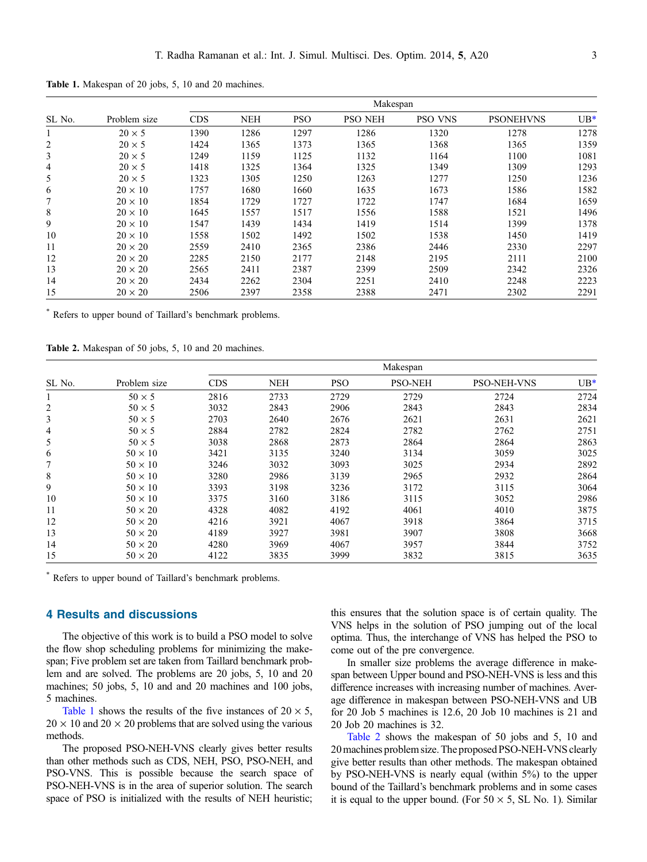Table 1. Makespan of 20 jobs, 5, 10 and 20 machines.

|        |                | Makespan   |            |            |                |                |                  |       |  |
|--------|----------------|------------|------------|------------|----------------|----------------|------------------|-------|--|
| SL No. | Problem size   | <b>CDS</b> | <b>NEH</b> | <b>PSO</b> | <b>PSO NEH</b> | <b>PSO VNS</b> | <b>PSONEHVNS</b> | $UB*$ |  |
|        | $20 \times 5$  | 1390       | 1286       | 1297       | 1286           | 1320           | 1278             | 1278  |  |
| 2      | $20 \times 5$  | 1424       | 1365       | 1373       | 1365           | 1368           | 1365             | 1359  |  |
| 3      | $20 \times 5$  | 1249       | 1159       | 1125       | 1132           | 1164           | 1100             | 1081  |  |
| 4      | $20 \times 5$  | 1418       | 1325       | 1364       | 1325           | 1349           | 1309             | 1293  |  |
| 5      | $20 \times 5$  | 1323       | 1305       | 1250       | 1263           | 1277           | 1250             | 1236  |  |
| 6      | $20 \times 10$ | 1757       | 1680       | 1660       | 1635           | 1673           | 1586             | 1582  |  |
| 7      | $20 \times 10$ | 1854       | 1729       | 1727       | 1722           | 1747           | 1684             | 1659  |  |
| 8      | $20 \times 10$ | 1645       | 1557       | 1517       | 1556           | 1588           | 1521             | 1496  |  |
| 9      | $20 \times 10$ | 1547       | 1439       | 1434       | 1419           | 1514           | 1399             | 1378  |  |
| 10     | $20 \times 10$ | 1558       | 1502       | 1492       | 1502           | 1538           | 1450             | 1419  |  |
| 11     | $20 \times 20$ | 2559       | 2410       | 2365       | 2386           | 2446           | 2330             | 2297  |  |
| 12     | $20 \times 20$ | 2285       | 2150       | 2177       | 2148           | 2195           | 2111             | 2100  |  |
| 13     | $20 \times 20$ | 2565       | 2411       | 2387       | 2399           | 2509           | 2342             | 2326  |  |
| 14     | $20 \times 20$ | 2434       | 2262       | 2304       | 2251           | 2410           | 2248             | 2223  |  |
| 15     | $20 \times 20$ | 2506       | 2397       | 2358       | 2388           | 2471           | 2302             | 2291  |  |

\* Refers to upper bound of Taillard's benchmark problems.

Table 2. Makespan of 50 jobs, 5, 10 and 20 machines.

|        | Problem size   | Makespan   |            |            |                |                    |       |  |  |
|--------|----------------|------------|------------|------------|----------------|--------------------|-------|--|--|
| SL No. |                | <b>CDS</b> | <b>NEH</b> | <b>PSO</b> | <b>PSO-NEH</b> | <b>PSO-NEH-VNS</b> | $UB*$ |  |  |
|        | $50 \times 5$  | 2816       | 2733       | 2729       | 2729           | 2724               | 2724  |  |  |
| 2      | $50 \times 5$  | 3032       | 2843       | 2906       | 2843           | 2843               | 2834  |  |  |
| 3      | $50 \times 5$  | 2703       | 2640       | 2676       | 2621           | 2631               | 2621  |  |  |
| 4      | $50 \times 5$  | 2884       | 2782       | 2824       | 2782           | 2762               | 2751  |  |  |
| 5      | $50 \times 5$  | 3038       | 2868       | 2873       | 2864           | 2864               | 2863  |  |  |
| 6      | $50 \times 10$ | 3421       | 3135       | 3240       | 3134           | 3059               | 3025  |  |  |
| 7      | $50 \times 10$ | 3246       | 3032       | 3093       | 3025           | 2934               | 2892  |  |  |
| 8      | $50 \times 10$ | 3280       | 2986       | 3139       | 2965           | 2932               | 2864  |  |  |
| 9      | $50 \times 10$ | 3393       | 3198       | 3236       | 3172           | 3115               | 3064  |  |  |
| 10     | $50 \times 10$ | 3375       | 3160       | 3186       | 3115           | 3052               | 2986  |  |  |
| 11     | $50 \times 20$ | 4328       | 4082       | 4192       | 4061           | 4010               | 3875  |  |  |
| 12     | $50 \times 20$ | 4216       | 3921       | 4067       | 3918           | 3864               | 3715  |  |  |
| 13     | $50 \times 20$ | 4189       | 3927       | 3981       | 3907           | 3808               | 3668  |  |  |
| 14     | $50 \times 20$ | 4280       | 3969       | 4067       | 3957           | 3844               | 3752  |  |  |
| 15     | $50 \times 20$ | 4122       | 3835       | 3999       | 3832           | 3815               | 3635  |  |  |

\* Refers to upper bound of Taillard's benchmark problems.

#### 4 Results and discussions

The objective of this work is to build a PSO model to solve the flow shop scheduling problems for minimizing the makespan; Five problem set are taken from Taillard benchmark problem and are solved. The problems are 20 jobs, 5, 10 and 20 machines; 50 jobs, 5, 10 and and 20 machines and 100 jobs, 5 machines.

Table 1 shows the results of the five instances of  $20 \times 5$ ,  $20 \times 10$  and  $20 \times 20$  problems that are solved using the various methods.

The proposed PSO-NEH-VNS clearly gives better results than other methods such as CDS, NEH, PSO, PSO-NEH, and PSO-VNS. This is possible because the search space of PSO-NEH-VNS is in the area of superior solution. The search space of PSO is initialized with the results of NEH heuristic;

this ensures that the solution space is of certain quality. The VNS helps in the solution of PSO jumping out of the local optima. Thus, the interchange of VNS has helped the PSO to come out of the pre convergence.

In smaller size problems the average difference in makespan between Upper bound and PSO-NEH-VNS is less and this difference increases with increasing number of machines. Average difference in makespan between PSO-NEH-VNS and UB for 20 Job 5 machines is 12.6, 20 Job 10 machines is 21 and 20 Job 20 machines is 32.

Table 2 shows the makespan of 50 jobs and 5, 10 and 20machines problem size. The proposed PSO-NEH-VNS clearly give better results than other methods. The makespan obtained by PSO-NEH-VNS is nearly equal (within 5%) to the upper bound of the Taillard's benchmark problems and in some cases it is equal to the upper bound. (For  $50 \times 5$ , SL No. 1). Similar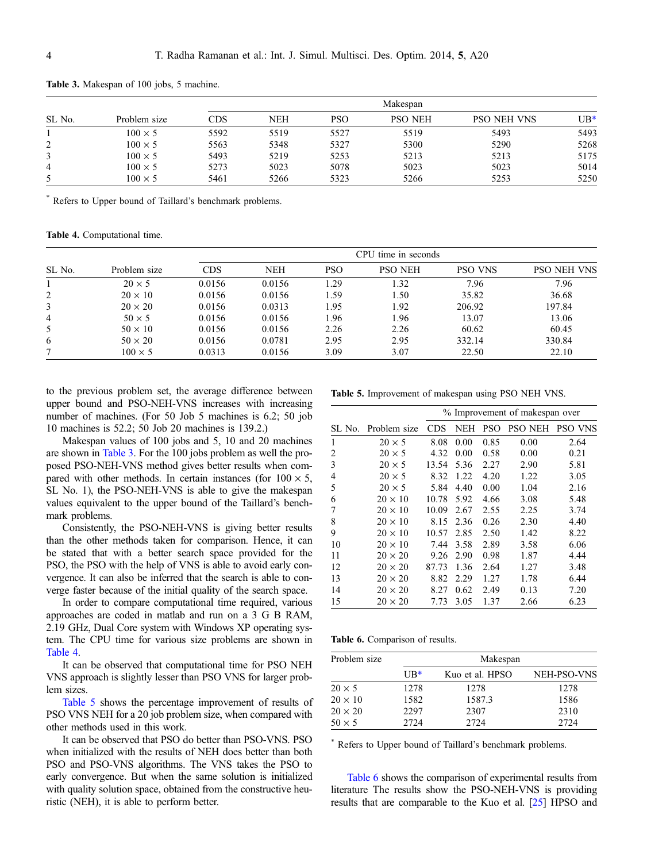| SL No.         |                | Makespan |            |            |                |                    |       |  |  |
|----------------|----------------|----------|------------|------------|----------------|--------------------|-------|--|--|
|                | Problem size   | CDS      | <b>NEH</b> | <b>PSO</b> | <b>PSO NEH</b> | <b>PSO NEH VNS</b> | $UB*$ |  |  |
|                | $100 \times 5$ | 5592     | 5519       | 5527       | 5519           | 5493               | 5493  |  |  |
| 2              | $100 \times 5$ | 5563     | 5348       | 5327       | 5300           | 5290               | 5268  |  |  |
|                | $100 \times 5$ | 5493     | 5219       | 5253       | 5213           | 5213               | 5175  |  |  |
| $\overline{4}$ | $100 \times 5$ | 5273     | 5023       | 5078       | 5023           | 5023               | 5014  |  |  |
|                | $100 \times 5$ | 5461     | 5266       | 5323       | 5266           | 5253               | 5250  |  |  |

Table 3. Makespan of 100 jobs, 5 machine.

\* Refers to Upper bound of Taillard's benchmark problems.

Table 4. Computational time.

| SL No. | Problem size   | CPU time in seconds |            |            |                |                |                    |  |  |
|--------|----------------|---------------------|------------|------------|----------------|----------------|--------------------|--|--|
|        |                | <b>CDS</b>          | <b>NEH</b> | <b>PSO</b> | <b>PSO NEH</b> | <b>PSO VNS</b> | <b>PSO NEH VNS</b> |  |  |
|        | $20 \times 5$  | 0.0156              | 0.0156     | 1.29       | 1.32           | 7.96           | 7.96               |  |  |
| 2      | $20 \times 10$ | 0.0156              | 0.0156     | 1.59       | 1.50           | 35.82          | 36.68              |  |  |
| 3      | $20 \times 20$ | 0.0156              | 0.0313     | 1.95       | 1.92           | 206.92         | 197.84             |  |  |
| 4      | $50 \times 5$  | 0.0156              | 0.0156     | 1.96       | 1.96           | 13.07          | 13.06              |  |  |
| 5      | $50 \times 10$ | 0.0156              | 0.0156     | 2.26       | 2.26           | 60.62          | 60.45              |  |  |
| 6      | $50 \times 20$ | 0.0156              | 0.0781     | 2.95       | 2.95           | 332.14         | 330.84             |  |  |
|        | $100 \times 5$ | 0.0313              | 0.0156     | 3.09       | 3.07           | 22.50          | 22.10              |  |  |

to the previous problem set, the average difference between upper bound and PSO-NEH-VNS increases with increasing number of machines. (For 50 Job 5 machines is 6.2; 50 job 10 machines is 52.2; 50 Job 20 machines is 139.2.)

Makespan values of 100 jobs and 5, 10 and 20 machines are shown in Table 3. For the 100 jobs problem as well the proposed PSO-NEH-VNS method gives better results when compared with other methods. In certain instances (for  $100 \times 5$ , SL No. 1), the PSO-NEH-VNS is able to give the makespan values equivalent to the upper bound of the Taillard's benchmark problems.

Consistently, the PSO-NEH-VNS is giving better results than the other methods taken for comparison. Hence, it can be stated that with a better search space provided for the PSO, the PSO with the help of VNS is able to avoid early convergence. It can also be inferred that the search is able to converge faster because of the initial quality of the search space.

In order to compare computational time required, various approaches are coded in matlab and run on a 3 G B RAM, 2.19 GHz, Dual Core system with Windows XP operating system. The CPU time for various size problems are shown in Table 4.

It can be observed that computational time for PSO NEH VNS approach is slightly lesser than PSO VNS for larger problem sizes.

Table 5 shows the percentage improvement of results of PSO VNS NEH for a 20 job problem size, when compared with other methods used in this work.

It can be observed that PSO do better than PSO-VNS. PSO when initialized with the results of NEH does better than both PSO and PSO-VNS algorithms. The VNS takes the PSO to early convergence. But when the same solution is initialized with quality solution space, obtained from the constructive heuristic (NEH), it is able to perform better.

Table 5. Improvement of makespan using PSO NEH VNS.

|        |                | % Improvement of makespan over |            |            |                |                |
|--------|----------------|--------------------------------|------------|------------|----------------|----------------|
| SL No. | Problem size   | <b>CDS</b>                     | <b>NEH</b> | <b>PSO</b> | <b>PSO NEH</b> | <b>PSO VNS</b> |
| 1      | $20 \times 5$  | 8.08                           | 0.00       | 0.85       | 0.00           | 2.64           |
| 2      | $20 \times 5$  | 4.32                           | 0.00       | 0.58       | 0.00           | 0.21           |
| 3      | $20 \times 5$  | 13.54                          | 5.36       | 2.27       | 2.90           | 5.81           |
| 4      | $20 \times 5$  | 8.32                           | 1.22       | 4.20       | 1.22           | 3.05           |
| 5      | $20 \times 5$  | 5.84                           | 4.40       | 0.00       | 1.04           | 2.16           |
| 6      | $20 \times 10$ | 10.78                          | 5.92       | 4.66       | 3.08           | 5.48           |
| 7      | $20 \times 10$ | 10.09                          | 2.67       | 2.55       | 2.25           | 3.74           |
| 8      | $20 \times 10$ | 8.15                           | 2.36       | 0.26       | 2.30           | 4.40           |
| 9      | $20 \times 10$ | 10.57                          | 2.85       | 2.50       | 1.42           | 8.22           |
| 10     | $20 \times 10$ | 7.44                           | 3.58       | 2.89       | 3.58           | 6.06           |
| 11     | $20 \times 20$ | 9.26                           | 2.90       | 0.98       | 1.87           | 4.44           |
| 12     | $20 \times 20$ | 87.73                          | 1.36       | 2.64       | 1.27           | 3.48           |
| 13     | $20 \times 20$ | 8.82                           | 2.29       | 1.27       | 1.78           | 6.44           |
| 14     | $20 \times 20$ | 8.27                           | 0.62       | 2.49       | 0.13           | 7.20           |
| 15     | $20 \times 20$ | 7.73                           | 3.05       | 1.37       | 2.66           | 6.23           |

Table 6. Comparison of results.

| Problem size   | Makespan |                 |             |  |  |  |  |
|----------------|----------|-----------------|-------------|--|--|--|--|
|                | $IIR*$   | Kuo et al. HPSO | NEH-PSO-VNS |  |  |  |  |
| $20 \times 5$  | 1278     | 1278            | 1278        |  |  |  |  |
| $20 \times 10$ | 1582     | 1587.3          | 1586        |  |  |  |  |
| $20 \times 20$ | 2297     | 2307            | 2310        |  |  |  |  |
| $50 \times 5$  | 2724     | 2.72.4          | 2724        |  |  |  |  |

\* Refers to Upper bound of Taillard's benchmark problems.

Table 6 shows the comparison of experimental results from literature The results show the PSO-NEH-VNS is providing results that are comparable to the Kuo et al. [25] HPSO and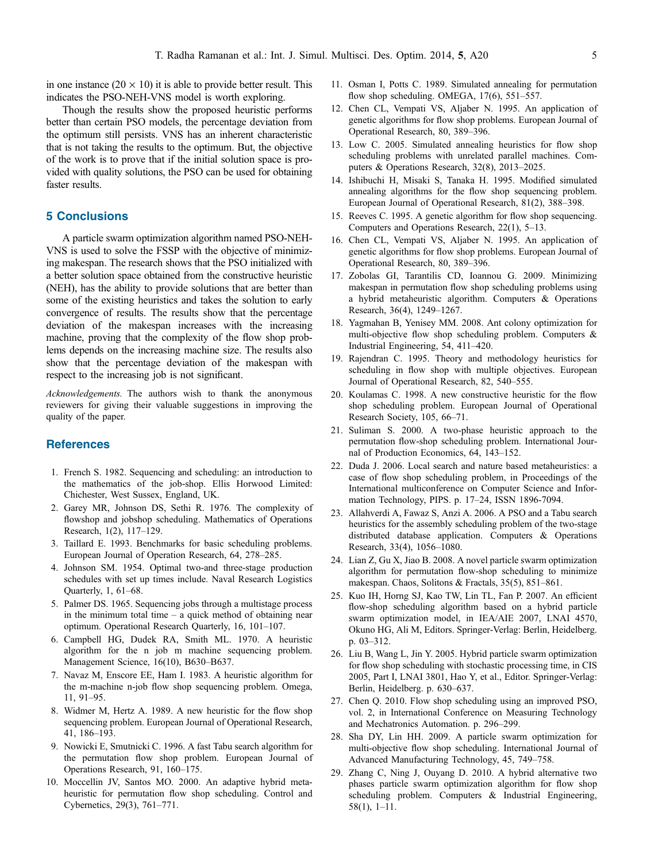in one instance  $(20 \times 10)$  it is able to provide better result. This indicates the PSO-NEH-VNS model is worth exploring.

Though the results show the proposed heuristic performs better than certain PSO models, the percentage deviation from the optimum still persists. VNS has an inherent characteristic that is not taking the results to the optimum. But, the objective of the work is to prove that if the initial solution space is provided with quality solutions, the PSO can be used for obtaining faster results.

## 5 Conclusions

A particle swarm optimization algorithm named PSO-NEH-VNS is used to solve the FSSP with the objective of minimizing makespan. The research shows that the PSO initialized with a better solution space obtained from the constructive heuristic (NEH), has the ability to provide solutions that are better than some of the existing heuristics and takes the solution to early convergence of results. The results show that the percentage deviation of the makespan increases with the increasing machine, proving that the complexity of the flow shop problems depends on the increasing machine size. The results also show that the percentage deviation of the makespan with respect to the increasing job is not significant.

Acknowledgements. The authors wish to thank the anonymous reviewers for giving their valuable suggestions in improving the quality of the paper.

## **References**

- 1. French S. 1982. Sequencing and scheduling: an introduction to the mathematics of the job-shop. Ellis Horwood Limited: Chichester, West Sussex, England, UK.
- 2. Garey MR, Johnson DS, Sethi R. 1976. The complexity of flowshop and jobshop scheduling. Mathematics of Operations Research, 1(2), 117–129.
- 3. Taillard E. 1993. Benchmarks for basic scheduling problems. European Journal of Operation Research, 64, 278–285.
- 4. Johnson SM. 1954. Optimal two-and three-stage production schedules with set up times include. Naval Research Logistics Quarterly, 1, 61–68.
- 5. Palmer DS. 1965. Sequencing jobs through a multistage process in the minimum total time  $-$  a quick method of obtaining near optimum. Operational Research Quarterly, 16, 101–107.
- 6. Campbell HG, Dudek RA, Smith ML. 1970. A heuristic algorithm for the n job m machine sequencing problem. Management Science, 16(10), B630–B637.
- 7. Navaz M, Enscore EE, Ham I. 1983. A heuristic algorithm for the m-machine n-job flow shop sequencing problem. Omega, 11, 91–95.
- 8. Widmer M, Hertz A. 1989. A new heuristic for the flow shop sequencing problem. European Journal of Operational Research, 41, 186–193.
- 9. Nowicki E, Smutnicki C. 1996. A fast Tabu search algorithm for the permutation flow shop problem. European Journal of Operations Research, 91, 160–175.
- 10. Moccellin JV, Santos MO. 2000. An adaptive hybrid metaheuristic for permutation flow shop scheduling. Control and Cybernetics, 29(3), 761–771.
- 11. Osman I, Potts C. 1989. Simulated annealing for permutation flow shop scheduling. OMEGA, 17(6), 551-557.
- 12. Chen CL, Vempati VS, Aljaber N. 1995. An application of genetic algorithms for flow shop problems. European Journal of Operational Research, 80, 389–396.
- 13. Low C. 2005. Simulated annealing heuristics for flow shop scheduling problems with unrelated parallel machines. Computers & Operations Research, 32(8), 2013–2025.
- 14. Ishibuchi H, Misaki S, Tanaka H. 1995. Modified simulated annealing algorithms for the flow shop sequencing problem. European Journal of Operational Research, 81(2), 388–398.
- 15. Reeves C. 1995. A genetic algorithm for flow shop sequencing. Computers and Operations Research, 22(1), 5–13.
- 16. Chen CL, Vempati VS, Aljaber N. 1995. An application of genetic algorithms for flow shop problems. European Journal of Operational Research, 80, 389–396.
- 17. Zobolas GI, Tarantilis CD, Ioannou G. 2009. Minimizing makespan in permutation flow shop scheduling problems using a hybrid metaheuristic algorithm. Computers & Operations Research, 36(4), 1249–1267.
- 18. Yagmahan B, Yenisey MM. 2008. Ant colony optimization for multi-objective flow shop scheduling problem. Computers & Industrial Engineering, 54, 411–420.
- 19. Rajendran C. 1995. Theory and methodology heuristics for scheduling in flow shop with multiple objectives. European Journal of Operational Research, 82, 540–555.
- 20. Koulamas C. 1998. A new constructive heuristic for the flow shop scheduling problem. European Journal of Operational Research Society, 105, 66–71.
- 21. Suliman S. 2000. A two-phase heuristic approach to the permutation flow-shop scheduling problem. International Journal of Production Economics, 64, 143–152.
- 22. Duda J. 2006. Local search and nature based metaheuristics: a case of flow shop scheduling problem, in Proceedings of the International multiconference on Computer Science and Information Technology, PIPS. p. 17–24, ISSN 1896-7094.
- 23. Allahverdi A, Fawaz S, Anzi A. 2006. A PSO and a Tabu search heuristics for the assembly scheduling problem of the two-stage distributed database application. Computers & Operations Research, 33(4), 1056–1080.
- 24. Lian Z, Gu X, Jiao B. 2008. A novel particle swarm optimization algorithm for permutation flow-shop scheduling to minimize makespan. Chaos, Solitons & Fractals, 35(5), 851–861.
- 25. Kuo IH, Horng SJ, Kao TW, Lin TL, Fan P. 2007. An efficient flow-shop scheduling algorithm based on a hybrid particle swarm optimization model, in IEA/AIE 2007, LNAI 4570, Okuno HG, Ali M, Editors. Springer-Verlag: Berlin, Heidelberg. p. 03–312.
- 26. Liu B, Wang L, Jin Y. 2005. Hybrid particle swarm optimization for flow shop scheduling with stochastic processing time, in CIS 2005, Part I, LNAI 3801, Hao Y, et al., Editor. Springer-Verlag: Berlin, Heidelberg. p. 630–637.
- 27. Chen Q. 2010. Flow shop scheduling using an improved PSO, vol. 2, in International Conference on Measuring Technology and Mechatronics Automation. p. 296–299.
- 28. Sha DY, Lin HH. 2009. A particle swarm optimization for multi-objective flow shop scheduling. International Journal of Advanced Manufacturing Technology, 45, 749–758.
- 29. Zhang C, Ning J, Ouyang D. 2010. A hybrid alternative two phases particle swarm optimization algorithm for flow shop scheduling problem. Computers & Industrial Engineering, 58(1), 1–11.